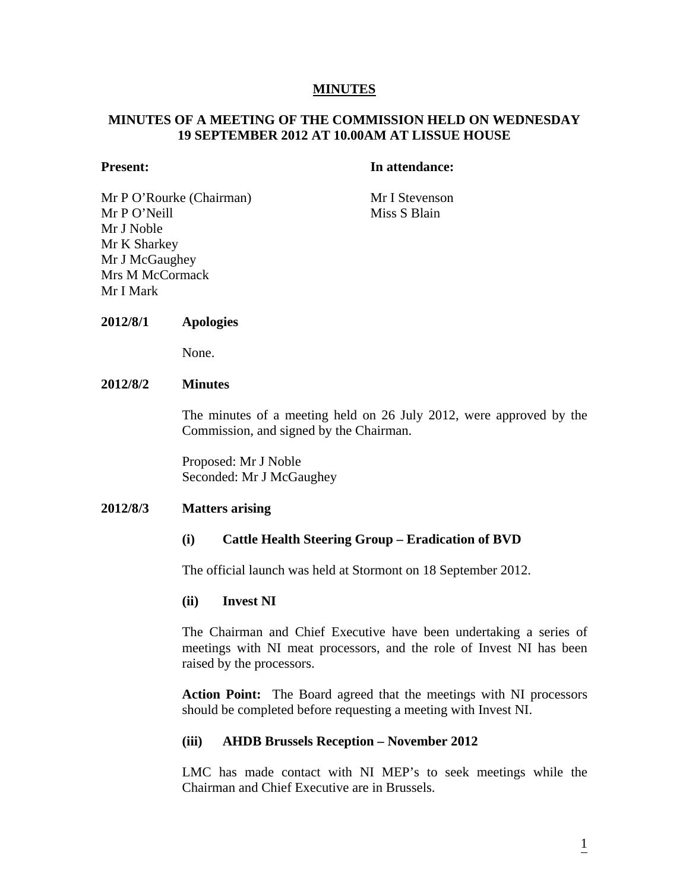## **MINUTES**

# **MINUTES OF A MEETING OF THE COMMISSION HELD ON WEDNESDAY 19 SEPTEMBER 2012 AT 10.00AM AT LISSUE HOUSE**

#### **Present:** In attendance:

Mr P O'Rourke (Chairman) Mr I Stevenson Mr P O'Neill Miss S Blain Mr J Noble Mr K Sharkey Mr J McGaughey Mrs M McCormack Mr I Mark

#### **2012/8/1 Apologies**

None.

# **2012/8/2 Minutes**

The minutes of a meeting held on 26 July 2012, were approved by the Commission, and signed by the Chairman.

Proposed: Mr J Noble Seconded: Mr J McGaughey

#### **2012/8/3 Matters arising**

# **(i) Cattle Health Steering Group – Eradication of BVD**

The official launch was held at Stormont on 18 September 2012.

#### **(ii) Invest NI**

The Chairman and Chief Executive have been undertaking a series of meetings with NI meat processors, and the role of Invest NI has been raised by the processors.

**Action Point:** The Board agreed that the meetings with NI processors should be completed before requesting a meeting with Invest NI.

#### **(iii) AHDB Brussels Reception – November 2012**

LMC has made contact with NI MEP's to seek meetings while the Chairman and Chief Executive are in Brussels.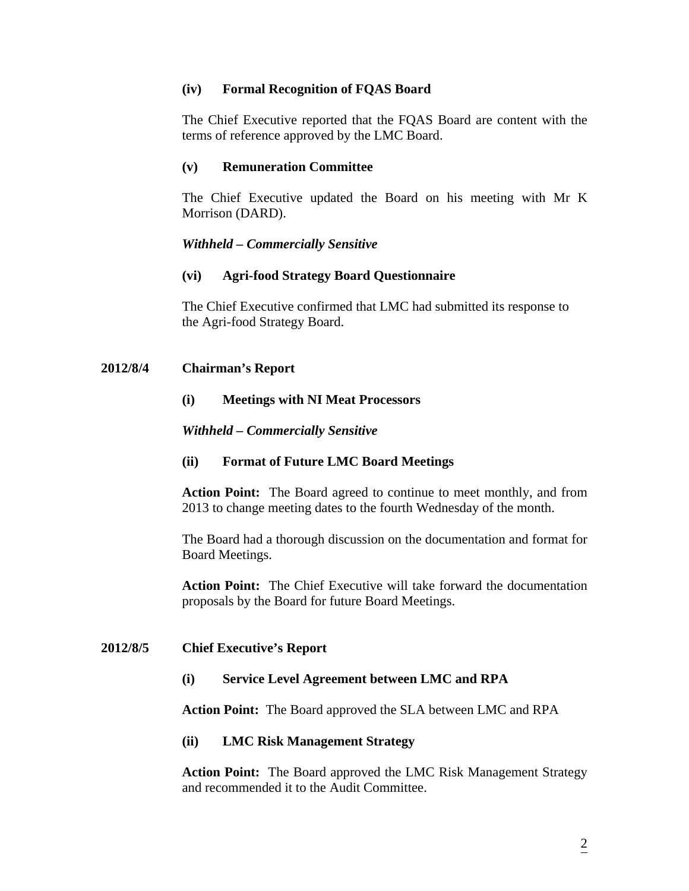## **(iv) Formal Recognition of FQAS Board**

The Chief Executive reported that the FQAS Board are content with the terms of reference approved by the LMC Board.

# **(v) Remuneration Committee**

The Chief Executive updated the Board on his meeting with Mr K Morrison (DARD).

# *Withheld – Commercially Sensitive*

## **(vi) Agri-food Strategy Board Questionnaire**

The Chief Executive confirmed that LMC had submitted its response to the Agri-food Strategy Board.

## **2012/8/4 Chairman's Report**

## **(i) Meetings with NI Meat Processors**

## *Withheld – Commercially Sensitive*

# **(ii) Format of Future LMC Board Meetings**

**Action Point:** The Board agreed to continue to meet monthly, and from 2013 to change meeting dates to the fourth Wednesday of the month.

The Board had a thorough discussion on the documentation and format for Board Meetings.

**Action Point:** The Chief Executive will take forward the documentation proposals by the Board for future Board Meetings.

# **2012/8/5 Chief Executive's Report**

#### **(i) Service Level Agreement between LMC and RPA**

**Action Point:** The Board approved the SLA between LMC and RPA

#### **(ii) LMC Risk Management Strategy**

**Action Point:** The Board approved the LMC Risk Management Strategy and recommended it to the Audit Committee.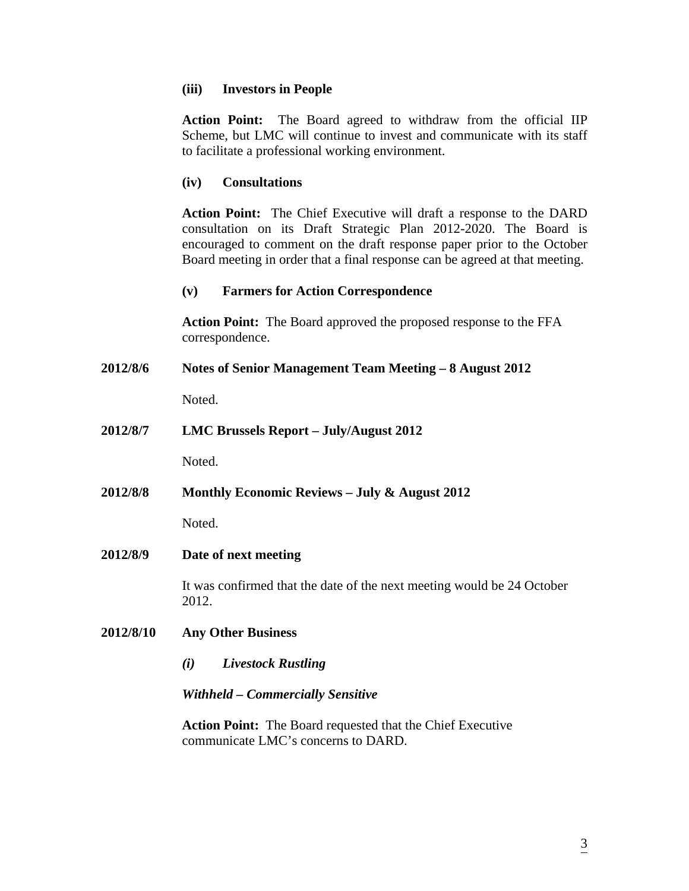## **(iii) Investors in People**

**Action Point:** The Board agreed to withdraw from the official IIP Scheme, but LMC will continue to invest and communicate with its staff to facilitate a professional working environment.

## **(iv) Consultations**

**Action Point:** The Chief Executive will draft a response to the DARD consultation on its Draft Strategic Plan 2012-2020. The Board is encouraged to comment on the draft response paper prior to the October Board meeting in order that a final response can be agreed at that meeting.

## **(v) Farmers for Action Correspondence**

 **Action Point:** The Board approved the proposed response to the FFA correspondence.

**2012/8/6 Notes of Senior Management Team Meeting – 8 August 2012** 

Noted.

**2012/8/7 LMC Brussels Report – July/August 2012**

Noted.

**2012/8/8 Monthly Economic Reviews – July & August 2012** 

Noted.

**2012/8/9 Date of next meeting** 

It was confirmed that the date of the next meeting would be 24 October 2012.

#### **2012/8/10 Any Other Business**

*(i) Livestock Rustling* 

#### *Withheld – Commercially Sensitive*

 **Action Point:** The Board requested that the Chief Executive communicate LMC's concerns to DARD.